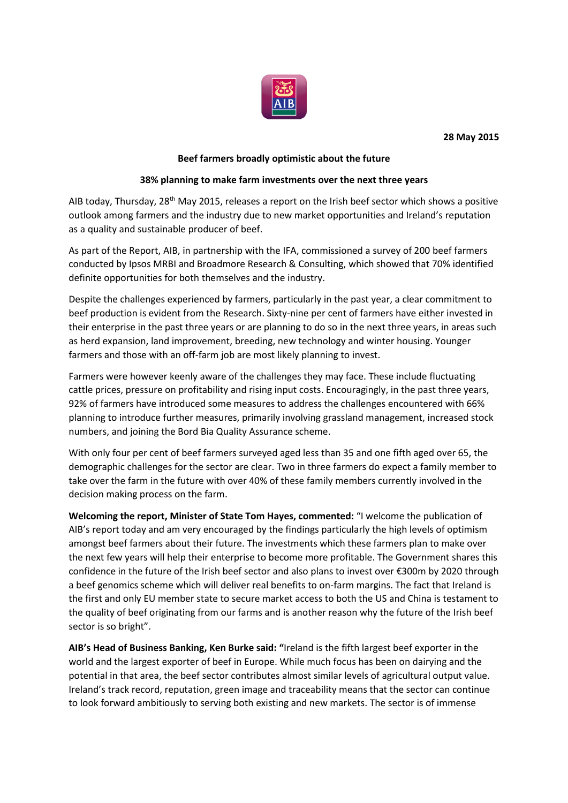

## **28 May 2015**

# **Beef farmers broadly optimistic about the future**

## **38% planning to make farm investments over the next three years**

AIB today, Thursday, 28<sup>th</sup> May 2015, releases a report on the Irish beef sector which shows a positive outlook among farmers and the industry due to new market opportunities and Ireland's reputation as a quality and sustainable producer of beef.

As part of the Report, AIB, in partnership with the IFA, commissioned a survey of 200 beef farmers conducted by Ipsos MRBI and Broadmore Research & Consulting, which showed that 70% identified definite opportunities for both themselves and the industry.

Despite the challenges experienced by farmers, particularly in the past year, a clear commitment to beef production is evident from the Research. Sixty-nine per cent of farmers have either invested in their enterprise in the past three years or are planning to do so in the next three years, in areas such as herd expansion, land improvement, breeding, new technology and winter housing. Younger farmers and those with an off-farm job are most likely planning to invest.

Farmers were however keenly aware of the challenges they may face. These include fluctuating cattle prices, pressure on profitability and rising input costs. Encouragingly, in the past three years, 92% of farmers have introduced some measures to address the challenges encountered with 66% planning to introduce further measures, primarily involving grassland management, increased stock numbers, and joining the Bord Bia Quality Assurance scheme.

With only four per cent of beef farmers surveyed aged less than 35 and one fifth aged over 65, the demographic challenges for the sector are clear. Two in three farmers do expect a family member to take over the farm in the future with over 40% of these family members currently involved in the decision making process on the farm.

**Welcoming the report, Minister of State Tom Hayes, commented:** "I welcome the publication of AIB's report today and am very encouraged by the findings particularly the high levels of optimism amongst beef farmers about their future. The investments which these farmers plan to make over the next few years will help their enterprise to become more profitable. The Government shares this confidence in the future of the Irish beef sector and also plans to invest over €300m by 2020 through a beef genomics scheme which will deliver real benefits to on-farm margins. The fact that Ireland is the first and only EU member state to secure market access to both the US and China is testament to the quality of beef originating from our farms and is another reason why the future of the Irish beef sector is so bright".

**AIB's Head of Business Banking, Ken Burke said: "**Ireland is the fifth largest beef exporter in the world and the largest exporter of beef in Europe. While much focus has been on dairying and the potential in that area, the beef sector contributes almost similar levels of agricultural output value. Ireland's track record, reputation, green image and traceability means that the sector can continue to look forward ambitiously to serving both existing and new markets. The sector is of immense